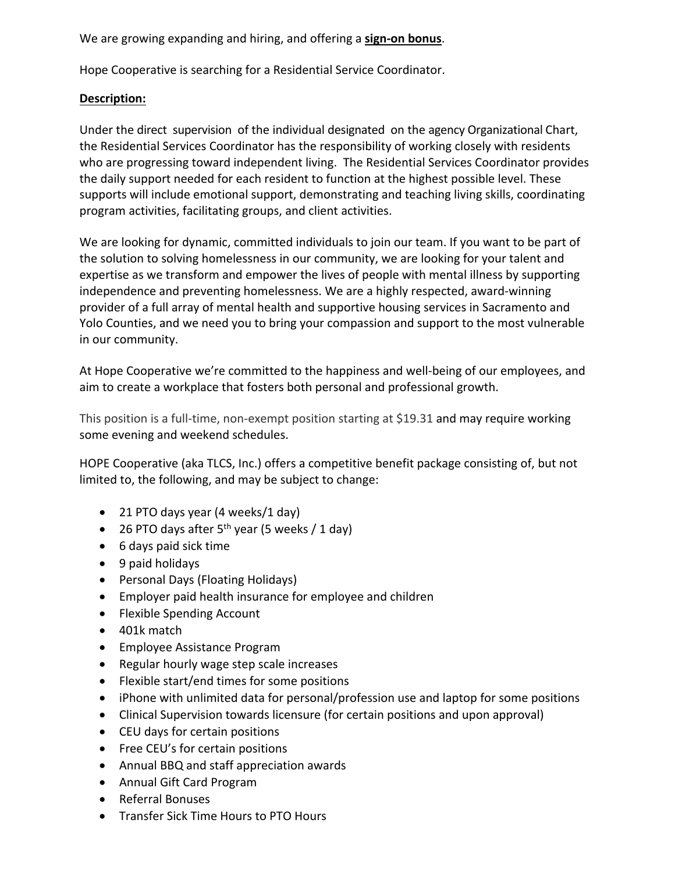We are growing expanding and hiring, and offering a **sign-on bonus**.

Hope Cooperative is searching for a Residential Service Coordinator.

## **Description:**

Under the direct supervision of the individual designated on the agency Organizational Chart, the Residential Services Coordinator has the responsibility of working closely with residents who are progressing toward independent living. The Residential Services Coordinator provides the daily support needed for each resident to function at the highest possible level. These supports will include emotional support, demonstrating and teaching living skills, coordinating program activities, facilitating groups, and client activities.

We are looking for dynamic, committed individuals to join our team. If you want to be part of the solution to solving homelessness in our community, we are looking for your talent and expertise as we transform and empower the lives of people with mental illness by supporting independence and preventing homelessness. We are a highly respected, award-winning provider of a full array of mental health and supportive housing services in Sacramento and Yolo Counties, and we need you to bring your compassion and support to the most vulnerable in our community.

At Hope Cooperative we're committed to the happiness and well-being of our employees, and aim to create a workplace that fosters both personal and professional growth.

This position is a full-time, non-exempt position starting at \$19.31 and may require working some evening and weekend schedules.

HOPE Cooperative (aka TLCS, Inc.) offers a competitive benefit package consisting of, but not limited to, the following, and may be subject to change:

- 21 PTO days year (4 weeks/1 day)
- 26 PTO days after  $5^{th}$  year (5 weeks / 1 day)
- 6 days paid sick time
- 9 paid holidays
- Personal Days (Floating Holidays)
- Employer paid health insurance for employee and children
- Flexible Spending Account
- 401k match
- Employee Assistance Program
- Regular hourly wage step scale increases
- Flexible start/end times for some positions
- iPhone with unlimited data for personal/profession use and laptop for some positions
- Clinical Supervision towards licensure (for certain positions and upon approval)
- CEU days for certain positions
- Free CEU's for certain positions
- Annual BBQ and staff appreciation awards
- Annual Gift Card Program
- Referral Bonuses
- Transfer Sick Time Hours to PTO Hours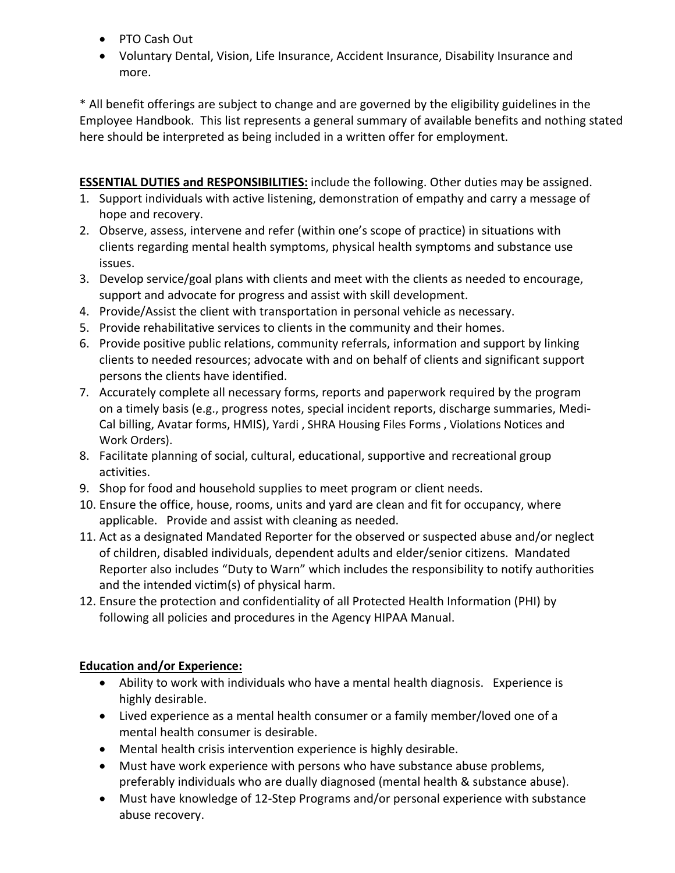- PTO Cash Out
- Voluntary Dental, Vision, Life Insurance, Accident Insurance, Disability Insurance and more.

\* All benefit offerings are subject to change and are governed by the eligibility guidelines in the Employee Handbook. This list represents a general summary of available benefits and nothing stated here should be interpreted as being included in a written offer for employment.

**ESSENTIAL DUTIES and RESPONSIBILITIES:** include the following. Other duties may be assigned. 1. Support individuals with active listening, demonstration of empathy and carry a message of hope and recovery.

- 2. Observe, assess, intervene and refer (within one's scope of practice) in situations with clients regarding mental health symptoms, physical health symptoms and substance use issues.
- 3. Develop service/goal plans with clients and meet with the clients as needed to encourage, support and advocate for progress and assist with skill development.
- 4. Provide/Assist the client with transportation in personal vehicle as necessary.
- 5. Provide rehabilitative services to clients in the community and their homes.
- 6. Provide positive public relations, community referrals, information and support by linking clients to needed resources; advocate with and on behalf of clients and significant support persons the clients have identified.
- 7. Accurately complete all necessary forms, reports and paperwork required by the program on a timely basis (e.g., progress notes, special incident reports, discharge summaries, Medi-Cal billing, Avatar forms, HMIS), Yardi , SHRA Housing Files Forms , Violations Notices and Work Orders).
- 8. Facilitate planning of social, cultural, educational, supportive and recreational group activities.
- 9. Shop for food and household supplies to meet program or client needs.
- 10. Ensure the office, house, rooms, units and yard are clean and fit for occupancy, where applicable. Provide and assist with cleaning as needed.
- 11. Act as a designated Mandated Reporter for the observed or suspected abuse and/or neglect of children, disabled individuals, dependent adults and elder/senior citizens. Mandated Reporter also includes "Duty to Warn" which includes the responsibility to notify authorities and the intended victim(s) of physical harm.
- 12. Ensure the protection and confidentiality of all Protected Health Information (PHI) by following all policies and procedures in the Agency HIPAA Manual.

## **Education and/or Experience:**

- Ability to work with individuals who have a mental health diagnosis. Experience is highly desirable.
- Lived experience as a mental health consumer or a family member/loved one of a mental health consumer is desirable.
- Mental health crisis intervention experience is highly desirable.
- Must have work experience with persons who have substance abuse problems, preferably individuals who are dually diagnosed (mental health & substance abuse).
- Must have knowledge of 12-Step Programs and/or personal experience with substance abuse recovery.